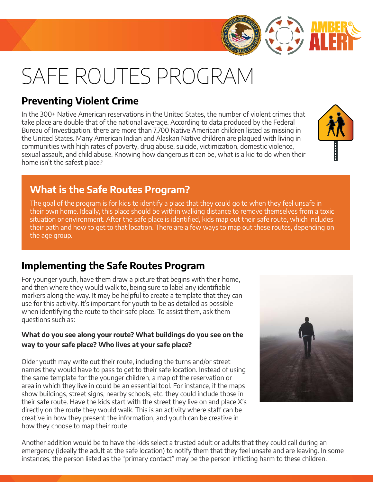# SAFE ROUTES PROGRAM

### **Preventing Violent Crime**

In the 300+ Native American reservations in the United States, the number of violent crimes that take place are double that of the national average. According to data produced by the Federal Bureau of Investigation, there are more than 7,700 Native American children listed as missing in the United States. Many American Indian and Alaskan Native children are plagued with living in communities with high rates of poverty, drug abuse, suicide, victimization, domestic violence, sexual assault, and child abuse. Knowing how dangerous it can be, what is a kid to do when their home isn't the safest place?

### **What is the Safe Routes Program?**

The goal of the program is for kids to identify a place that they could go to when they feel unsafe in their own home. Ideally, this place should be within walking distance to remove themselves from a toxic situation or environment. After the safe place is identified, kids map out their safe route, which includes their path and how to get to that location. There are a few ways to map out these routes, depending on the age group.

### **Implementing the Safe Routes Program**

For younger youth, have them draw a picture that begins with their home, and then where they would walk to, being sure to label any identifiable markers along the way. It may be helpful to create a template that they can use for this activity. It's important for youth to be as detailed as possible when identifying the route to their safe place. To assist them, ask them questions such as:

#### **What do you see along your route? What buildings do you see on the way to your safe place? Who lives at your safe place?**

Older youth may write out their route, including the turns and/or street names they would have to pass to get to their safe location. Instead of using the same template for the younger children, a map of the reservation or area in which they live in could be an essential tool. For instance, if the maps show buildings, street signs, nearby schools, etc. they could include those in their safe route. Have the kids start with the street they live on and place X's directly on the route they would walk. This is an activity where staff can be creative in how they present the information, and youth can be creative in how they choose to map their route.

Another addition would be to have the kids select a trusted adult or adults that they could call during an emergency (ideally the adult at the safe location) to notify them that they feel unsafe and are leaving. In some instances, the person listed as the "primary contact" may be the person inflicting harm to these children.





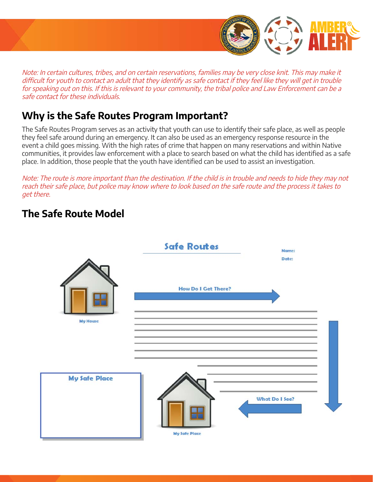

Note: In certain cultures, tribes, and on certain reservations, families may be very close knit. This may make it difficult for youth to contact an adult that they identify as safe contact if they feel like they will get in trouble for speaking out on this. If this is relevant to your community, the tribal police and Law Enforcement can be a safe contact for these individuals.

### **Why is the Safe Routes Program Important?**

The Safe Routes Program serves as an activity that youth can use to identify their safe place, as well as people they feel safe around during an emergency. It can also be used as an emergency response resource in the event a child goes missing. With the high rates of crime that happen on many reservations and within Native communities, it provides law enforcement with a place to search based on what the child has identified as a safe place. In addition, those people that the youth have identified can be used to assist an investigation.

Note: The route is more important than the destination. If the child is in trouble and needs to hide they may not reach their safe place, but police may know where to look based on the safe route and the process it takes to get there.

### **The Safe Route Model**

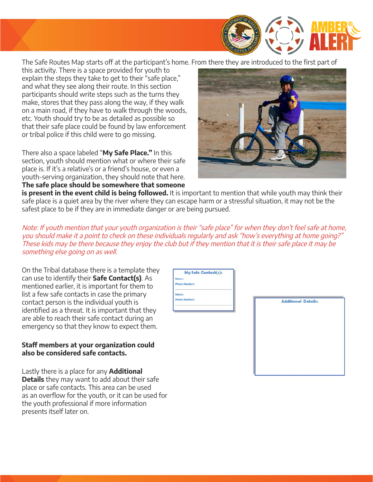

The Safe Routes Map starts off at the participant's home. From there they are introduced to the first part of

this activity. There is a space provided for youth to explain the steps they take to get to their "safe place," and what they see along their route. In this section participants should write steps such as the turns they make, stores that they pass along the way, if they walk on a main road, if they have to walk through the woods, etc. Youth should try to be as detailed as possible so that their safe place could be found by law enforcement or tribal police if this child were to go missing.

There also a space labeled "**My Safe Place."** In this section, youth should mention what or where their safe place is. If it's a relative's or a friend's house, or even a youth-serving organization, they should note that here. **The safe place should be somewhere that someone** 



is present in the event child is being followed. It is important to mention that while youth may think their safe place is a quiet area by the river where they can escape harm or a stressful situation, it may not be the safest place to be if they are in immediate danger or are being pursued.

Note: If youth mention that your youth organization is their "safe place" for when they don't feel safe at home, you should make it a point to check on these individuals regularly and ask "how's everything at home going?" These kids may be there because they enjoy the club but if they mention that it is their safe place it may be something else going on as well.

On the Tribal database there is a template they can use to identify their **Safe Contact(s)**. As mentioned earlier, it is important for them to list a few safe contacts in case the primary contact person is the individual youth is identified as a threat. It is important that they are able to reach their safe contact during an emergency so that they know to expect them.

#### **Staff members at your organization could also be considered safe contacts.**

as an overflow for the youth, or it can be used for the youth professional if more information presents itself later on. Lastly there is a place for any **Additional Details** they may want to add about their safe place or safe contacts. This area can be used

| My Safe Contact(s):  |
|----------------------|
| Name:                |
| <b>Phone Number:</b> |
| Name:                |
| <b>Phone Number:</b> |

**Additional Details:**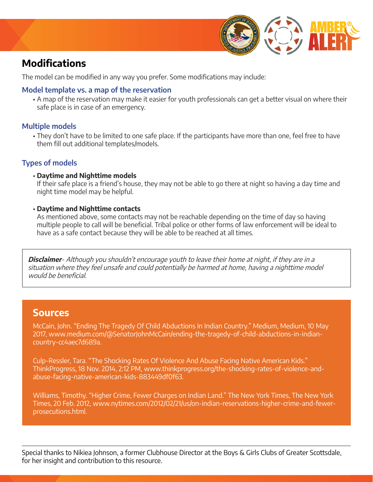

### **Modifications**

The model can be modified in any way you prefer. Some modifications may include:

#### **Model template vs. a map of the reservation**

A map of the reservation may make it easier for youth professionals can get a better visual on where their • safe place is in case of an emergency.

#### **Multiple models**

• They don't have to be limited to one safe place. If the participants have more than one, feel free to have them fill out additional templates/models.

#### **Types of models**

• **Daytime and Nighttime models**

If their safe place is a friend's house, they may not be able to go there at night so having a day time and night time model may be helpful.

#### • **Daytime and Nighttime contacts**

As mentioned above, some contacts may not be reachable depending on the time of day so having multiple people to call will be beneficial. Tribal police or other forms of law enforcement will be ideal to have as a safe contact because they will be able to be reached at all times.

**Disclaimer**- Although you shouldn't encourage youth to leave their home at night, if they are in a situation where they feel unsafe and could potentially be harmed at home, having a nighttime model would be beneficial.

#### **Sources**

McCain, John. "Ending The Tragedy Of Child Abductions In Indian Country." Medium, Medium, 10 May 2017, [www.medium.com/@SenatorJohnMcCain/ending-the-tragedy-of-child-abductions-in-indian](http://www.medium.com/@SenatorJohnMcCain/ending-the-tragedy-of-child-abductions-in-indian-country-cc4aec7d689a)[country-cc4aec7d689a](http://www.medium.com/@SenatorJohnMcCain/ending-the-tragedy-of-child-abductions-in-indian-country-cc4aec7d689a).

Culp-Ressler, Tara. "The Shocking Rates Of Violence And Abuse Facing Native American Kids." ThinkProgress, 18 Nov. 2014, 2:12 PM, [www.thinkprogress.org/the-shocking-rates-of-violence-and](http://www.thinkprogress.org/the-shocking-rates-of-violence-and-abuse- facing-native-american-kids-883449df0f63)[abuse-facing-native-american-kids-883449df0f63](http://www.thinkprogress.org/the-shocking-rates-of-violence-and-abuse- facing-native-american-kids-883449df0f63).

Williams, Timothy. "Higher Crime, Fewer Charges on Indian Land." The New York Times, The New York Times, 20 Feb. 2012, [www.nytimes.com/2012/02/21/us/on-indian-reservations-higher-crime-and-fewer](http://www.nytimes.com/2012/02/21/us/on-indian-reservations-higher-crime-and-fewer-prosecutions.html)[prosecutions.html](http://www.nytimes.com/2012/02/21/us/on-indian-reservations-higher-crime-and-fewer-prosecutions.html).

Special thanks to Nikiea Johnson, a former Clubhouse Director at the Boys & Girls Clubs of Greater Scottsdale, for her insight and contribution to this resource.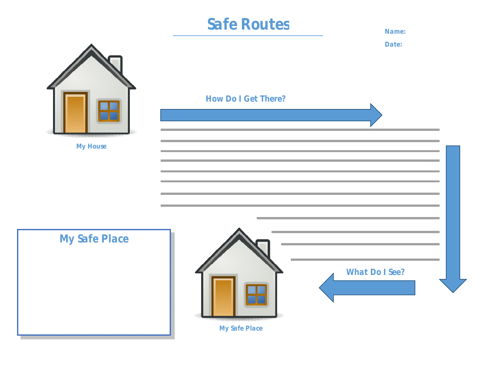## Safe Routes **Name:**